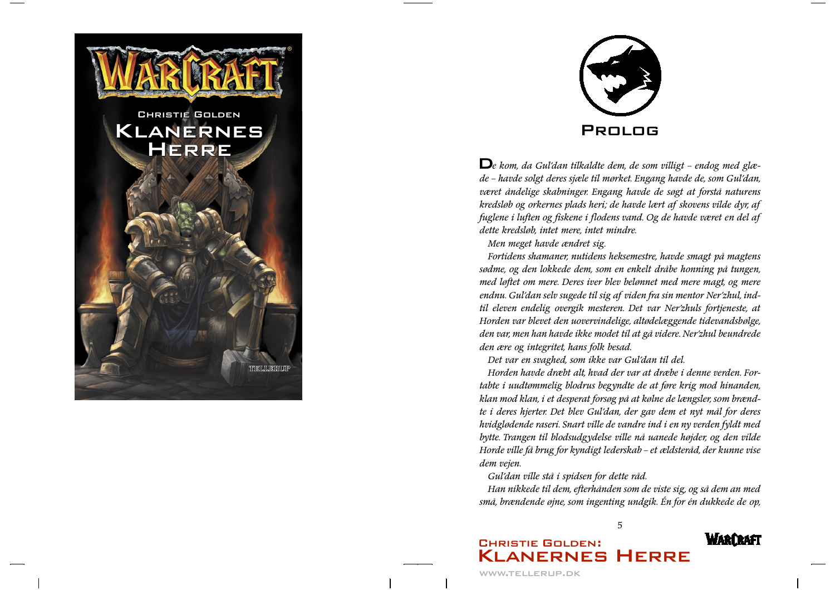



 $\mathbf{D}_e$  kom, da Gul'dan tilkaldte dem, de som villigt – endog med glæde - havde solgt deres sjæle til mørket. Engang havde de, som Gul'dan, været åndelige skabninger. Engang havde de søgt at forstå naturens kredsløb og orkernes plads heri; de havde lært af skovens vilde dyr, af fuglene i luften og fiskene i flodens vand. Og de havde været en del af dette kredsløb, intet mere, intet mindre,

Men meget havde ændret sig.

Fortidens shamaner, nutidens heksemestre, havde smagt på magtens sødme, og den lokkede dem, som en enkelt dråbe honning på tungen, med løftet om mere. Deres iver blev belønnet med mere magt, og mere endnu. Gul'dan selv sugede til sig af viden fra sin mentor Ner'zhul, indtil eleven endelig overgik mesteren. Det var Ner'zhuls fortjeneste, at Horden var blevet den uovervindelige, altødelæggende tidevandsbølge, den var, men han havde ikke modet til at gå videre. Ner'zhul beundrede den ære og integritet, hans folk besad.

Det var en svaghed, som ikke var Gul'dan til del.

Horden havde dræbt alt, hvad der var at dræbe i denne verden. Fortabte i uudtømmelig blodrus begyndte de at føre krig mod hinanden, klan mod klan, i et desperat forsøg på at kølne de længsler, som brændte i deres hjerter. Det blev Gul'dan, der gav dem et nyt mål for deres hvidglødende raseri. Snart ville de vandre ind i en ny verden fyldt med bytte. Trangen til blodsudgydelse ville nå uanede højder, og den vilde Horde ville få brug for kyndigt lederskab - et ældsteråd, der kunne vise dem vejen.

Gul'dan ville stå i spidsen for dette råd.

Han nikkede til dem, efterhånden som de viste sig, og så dem an med små, brændende øjne, som ingenting undgik. Én for én dukkede de op,

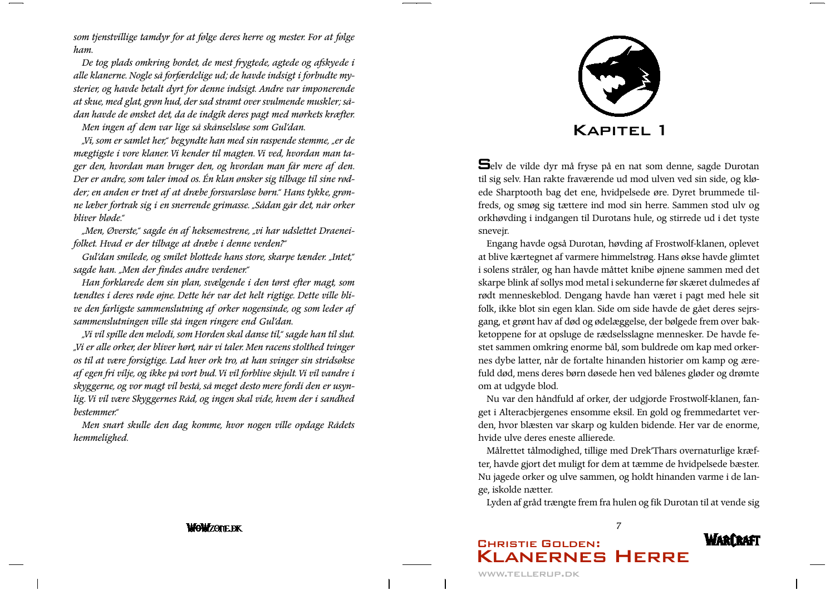som tjenstvillige tamdyr for at følge deres herre og mester. For at følge ham.

De tog plads omkring bordet, de mest frygtede, agtede og afskyede i alle klanerne. Nogle så forfærdelige ud; de havde indsigt i forbudte mysterier, og havde betalt dyrt for denne indsigt. Andre var imponerende at skue, med glat, grøn hud, der sad stramt over svulmende muskler; sådan havde de ønsket det, da de indgik deres pagt med mørkets kræfter.

Men ingen af dem var lige så skånselsløse som Gul'dan.

"Vi, som er samlet her," begyndte han med sin raspende stemme, "er de mægtigste i vore klaner. Vi kender til magten. Vi ved, hvordan man tager den, hvordan man bruger den, og hvordan man får mere af den. Der er andre, som taler imod os. Én klan ønsker sig tilbage til sine rødder; en anden er træt af at dræbe forsvarsløse børn." Hans tykke, grønne læber fortrak sig i en snerrende grimasse. "Sådan går det, når orker bliver bløde."

"Men, Øverste," sagde én af heksemestrene, "vi har udslettet Draeneifolket. Hvad er der tilbage at dræbe i denne verden?"

Gul'dan smilede, og smilet blottede hans store, skarpe tænder. "Intet," sagde han. "Men der findes andre verdener."

Han forklarede dem sin plan, svælgende i den tørst efter magt, som tændtes i deres røde øjne. Dette hér var det helt rigtige. Dette ville blive den farligste sammenslutning af orker nogensinde, og som leder af sammenslutningen ville stå ingen ringere end Gul'dan.

"Vi vil spille den melodi, som Horden skal danse til," sagde han til slut. "Vi er alle orker, der bliver hørt, når vi taler. Men racens stolthed tvinger os til at være forsigtige. Lad hver ork tro, at han svinger sin stridsøkse af egen fri vilje, og ikke på vort bud. Vi vil forblive skjult. Vi vil vandre i skyggerne, og vor magt vil bestå, så meget desto mere fordi den er usynlig. Vi vil være Skyggernes Råd, og ingen skal vide, hvem der i sandhed bestemmer."

Men snart skulle den dag komme, hvor nogen ville opdage Rådets hemmelighed.

# **WOWZONEDK**



Selv de vilde dyr må fryse på en nat som denne, sagde Durotan til sig selv. Han rakte fraværende ud mod ulven ved sin side, og kløede Sharptooth bag det ene, hvidpelsede øre. Dyret brummede tilfreds, og smøg sig tættere ind mod sin herre. Sammen stod ulv og orkhøvding i indgangen til Durotans hule, og stirrede ud i det tyste snevejr.

Engang havde også Durotan, høvding af Frostwolf-klanen, oplevet at blive kærtegnet af varmere himmelstrøg. Hans økse havde glimtet i solens stråler, og han havde måttet knibe øjnene sammen med det skarpe blink af sollys mod metal i sekunderne før skæret dulmedes af rødt menneskeblod. Dengang havde han været i pagt med hele sit folk, ikke blot sin egen klan. Side om side havde de gået deres sejrsgang, et grønt hav af død og ødelæggelse, der bølgede frem over bakketoppene for at opsluge de rædselsslagne mennesker. De havde festet sammen omkring enorme bål, som buldrede om kap med orkernes dybe latter, når de fortalte hinanden historier om kamp og ærefuld død, mens deres børn døsede hen ved bålenes gløder og drømte om at udgyde blod.

Nu var den håndfuld af orker, der udgjorde Frostwolf-klanen, fanget i Alteracbjergenes ensomme eksil. En gold og fremmedartet verden, hvor blæsten var skarp og kulden bidende. Her var de enorme, hvide ulve deres eneste allierede.

Målrettet tålmodighed, tillige med Drek'Thars overnaturlige kræfter, havde gjort det muligt for dem at tæmme de hvidpelsede bæster. Nu jagede orker og ulve sammen, og holdt hinanden varme i de lange, iskolde nætter.

Lyden af gråd trængte frem fra hulen og fik Durotan til at vende sig

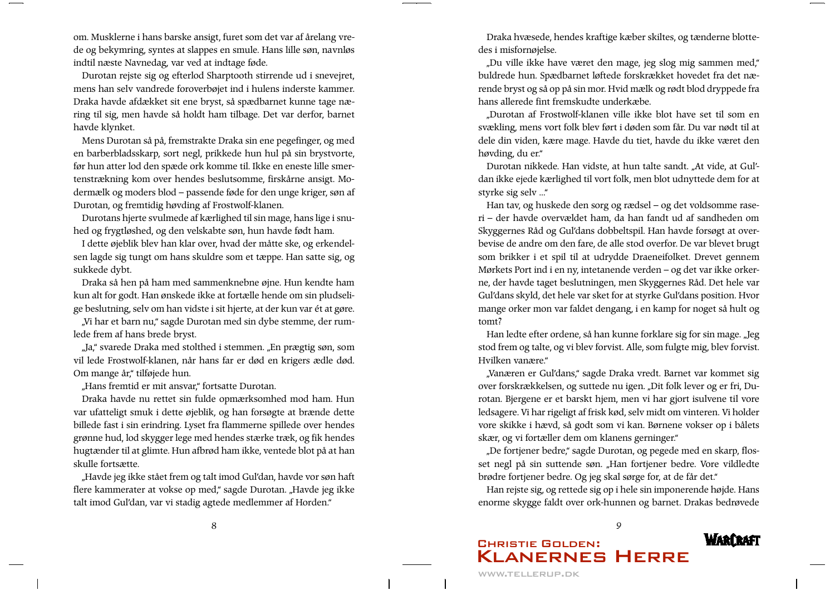om. Musklerne i hans barske ansigt, furet som det var af årelang vrede og bekymring, syntes at slappes en smule. Hans lille søn, navnløs indtil næste Navnedag, var ved at indtage føde.

Durotan rejste sig og efterlod Sharptooth stirrende ud i snevejret, mens han selv vandrede foroverbøjet ind i hulens inderste kammer. Draka havde afdækket sit ene bryst, så spædbarnet kunne tage næring til sig, men havde så holdt ham tilbage. Det var derfor, barnet havde klynket.

Mens Durotan så på, fremstrakte Draka sin ene pegefinger, og med en barberbladsskarp, sort negl, prikkede hun hul på sin brystvorte, før hun atter lod den spæde ork komme til. Ikke en eneste lille smertenstrækning kom over hendes beslutsomme, firskårne ansigt. Modermælk og moders blod – passende føde for den unge kriger, søn af Durotan, og fremtidig høvding af Frostwolf-klanen.

Durotans hjerte svulmede af kærlighed til sin mage, hans lige i snuhed og frygtløshed, og den velskabte søn, hun havde født ham.

I dette øjeblik blev han klar over, hvad der måtte ske, og erkendelsen lagde sig tungt om hans skuldre som et tæppe. Han satte sig, og sukkede dybt.

Draka så hen på ham med sammenknebne øjne. Hun kendte ham kun alt for godt. Han ønskede ikke at fortælle hende om sin pludselige beslutning, selv om han vidste i sit hjerte, at der kun var ét at gøre.

"Vi har et barn nu," sagde Durotan med sin dybe stemme, der rumlede frem af hans brede bryst.

"Ja," svarede Draka med stolthed i stemmen. "En prægtig søn, som vil lede Frostwolf-klanen, når hans far er død en krigers ædle død. Om mange år," tilføjede hun.

"Hans fremtid er mit ansvar," fortsatte Durotan.

Draka havde nu rettet sin fulde opmærksomhed mod ham. Hun var ufatteligt smuk i dette øjeblik, og han forsøgte at brænde dette billede fast i sin erindring. Lyset fra flammerne spillede over hendes grønne hud, lod skygger lege med hendes stærke træk, og fik hendes hugtænder til at glimte. Hun afbrød ham ikke, ventede blot på at han skulle fortsætte.

"Havde jeg ikke stået frem og talt imod Gul'dan, havde vor søn haft flere kammerater at vokse op med," sagde Durotan. "Havde jeg ikke talt imod Gul'dan, var vi stadig agtede medlemmer af Horden."

Draka hvæsede, hendes kraftige kæber skiltes, og tænderne blottedes i misfornøjelse.

"Du ville ikke have været den mage, jeg slog mig sammen med," buldrede hun. Spædbarnet løftede forskrækket hovedet fra det nærende bryst og så op på sin mor. Hvid mælk og rødt blod dryppede fra hans allerede fint fremskudte underkæbe.

Durotan af Frostwolf-klanen ville ikke blot have set til som en svækling, mens vort folk blev ført i døden som får. Du var nødt til at dele din viden, kære mage. Havde du tiet, havde du ikke været den høvding, du er."

Durotan nikkede. Han vidste, at hun talte sandt. "At vide, at Gul'dan ikke ejede kærlighed til vort folk, men blot udnyttede dem for at styrke sig selv ..."

Han tav, og huskede den sorg og rædsel – og det voldsomme raseri - der havde overvældet ham, da han fandt ud af sandheden om Skyggernes Råd og Gul'dans dobbeltspil. Han havde forsøgt at overbevise de andre om den fare, de alle stod overfor. De var blevet brugt som brikker i et spil til at udrydde Draeneifolket. Drevet gennem Mørkets Port ind i en ny, intetanende verden - og det var ikke orkerne, der havde taget beslutningen, men Skyggernes Råd. Det hele var Gul'dans skyld, det hele var sket for at styrke Gul'dans position. Hvor mange orker mon var faldet dengang, i en kamp for noget så hult og tomt?

Han ledte efter ordene, så han kunne forklare sig for sin mage. "Jeg stod frem og talte, og vi blev forvist. Alle, som fulgte mig, blev forvist. Hvilken vanære"

"Vanæren er Gul'dans," sagde Draka vredt. Barnet var kommet sig over forskrækkelsen, og suttede nu igen. "Dit folk lever og er fri, Durotan. Bjergene er et barskt hjem, men vi har gjort isulvene til vore ledsagere. Vi har rigeligt af frisk kød, selv midt om vinteren. Vi holder vore skikke i hævd, så godt som vi kan. Børnene vokser op i bålets skær, og vi fortæller dem om klanens gerninger."

"De fortjener bedre," sagde Durotan, og pegede med en skarp, flosset negl på sin suttende søn. "Han fortjener bedre. Vore vildledte brødre fortjener bedre. Og jeg skal sørge for, at de får det."

Han rejste sig, og rettede sig op i hele sin imponerende højde. Hans enorme skygge faldt over ork-hunnen og barnet. Drakas bedrøvede

 $\mathbf Q$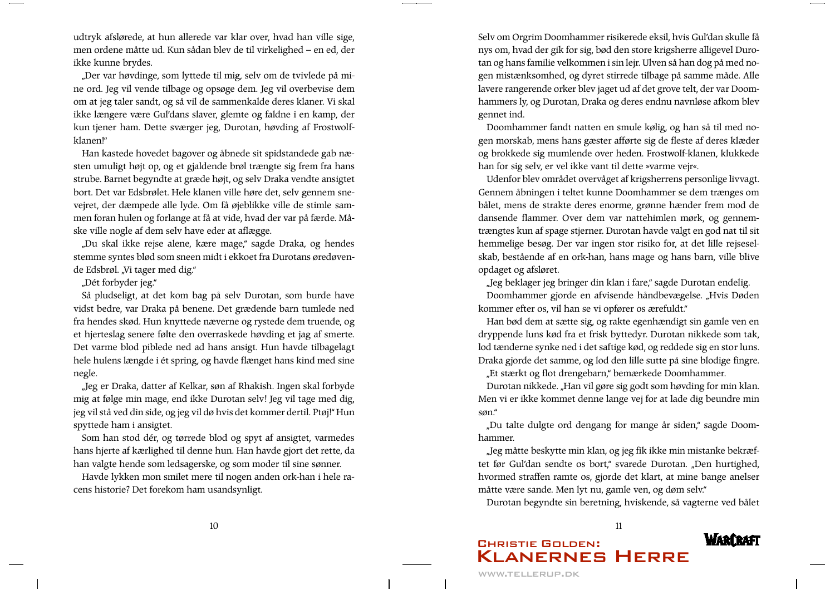udtryk afslørede, at hun allerede var klar over, hvad han ville sige, men ordene måtte ud. Kun sådan blev de til virkelighed - en ed, der ikke kunne brydes.

"Der var høvdinge, som lyttede til mig, selv om de tvivlede på mine ord. Jeg vil vende tilbage og opsøge dem. Jeg vil overbevise dem om at jeg taler sandt, og så vil de sammenkalde deres klaner. Vi skal ikke længere være Gul'dans slaver, glemte og faldne i en kamp, der kun tjener ham. Dette sværger jeg, Durotan, høvding af Frostwolfklanen!"

Han kastede hovedet bagover og åbnede sit spidstandede gab næsten umuligt højt op, og et gjaldende brøl trængte sig frem fra hans strube. Barnet begyndte at græde højt, og selv Draka vendte ansigtet bort. Det var Edsbrølet. Hele klanen ville høre det, selv gennem snevejret, der dæmpede alle lyde. Om få øjeblikke ville de stimle sammen foran hulen og forlange at få at vide, hvad der var på færde. Måske ville nogle af dem selv have eder at aflægge.

"Du skal ikke rejse alene, kære mage," sagde Draka, og hendes stemme syntes blød som sneen midt i ekkoet fra Durotans øredøvende Edsbrøl. "Vi tager med dig."

### "Dét forbyder jeg."

Så pludseligt, at det kom bag på selv Durotan, som burde have vidst bedre, var Draka på benene. Det grædende barn tumlede ned fra hendes skød. Hun knyttede næverne og rystede dem truende, og et hjerteslag senere følte den overraskede høvding et jag af smerte. Det varme blod piblede ned ad hans ansigt. Hun havde tilbagelagt hele hulens længde i ét spring, og havde flænget hans kind med sine negle.

"Jeg er Draka, datter af Kelkar, søn af Rhakish. Ingen skal forbyde mig at følge min mage, end ikke Durotan selv! Jeg vil tage med dig, jeg vil stå ved din side, og jeg vil dø hvis det kommer dertil. Ptøj!" Hun spyttede ham i ansigtet.

Som han stod dér, og tørrede blod og spyt af ansigtet, varmedes hans hjerte af kærlighed til denne hun. Han havde gjort det rette, da han valgte hende som ledsagerske, og som moder til sine sønner.

Havde lykken mon smilet mere til nogen anden ork-han i hele racens historie? Det forekom ham usandsynligt.

Selv om Orgrim Doomhammer risikerede eksil, hvis Gul'dan skulle få nys om, hvad der gik for sig, bød den store krigsherre alligevel Durotan og hans familie velkommen i sin lejr. Ulven så han dog på med nogen mistænksomhed, og dyret stirrede tilbage på samme måde. Alle lavere rangerende orker blev jaget ud af det grove telt, der var Doomhammers ly, og Durotan, Draka og deres endnu navnløse afkom blev gennet ind.

Doomhammer fandt natten en smule kølig, og han så til med nogen morskab, mens hans gæster afførte sig de fleste af deres klæder og brokkede sig mumlende over heden. Frostwolf-klanen, klukkede han for sig selv, er vel ikke vant til dette »varme vejr«.

Udenfor blev området overvåget af krigsherrens personlige livvagt. Gennem åbningen i teltet kunne Doomhammer se dem trænges om bålet, mens de strakte deres enorme, grønne hænder frem mod de dansende flammer. Over dem var nattehimlen mørk, og gennemtrængtes kun af spage stjerner. Durotan havde valgt en god nat til sit hemmelige besøg. Der var ingen stor risiko for, at det lille rejseselskab, bestående af en ork-han, hans mage og hans barn, ville blive opdaget og afsløret.

"Jeg beklager jeg bringer din klan i fare," sagde Durotan endelig.

Doomhammer gjorde en afvisende håndbevægelse. "Hvis Døden kommer efter os, vil han se vi opfører os ærefuldt."

Han bød dem at sætte sig, og rakte egenhændigt sin gamle ven en dryppende luns kød fra et frisk byttedyr. Durotan nikkede som tak, lod tænderne synke ned i det saftige kød, og reddede sig en stor luns. Draka gjorde det samme, og lod den lille sutte på sine blodige fingre.

"Et stærkt og flot drengebarn," bemærkede Doomhammer.

Durotan nikkede. "Han vil gøre sig godt som høvding for min klan. Men vi er ikke kommet denne lange vej for at lade dig beundre min søn."

"Du talte dulgte ord dengang for mange år siden," sagde Doomhammer.

"Jeg måtte beskytte min klan, og jeg fik ikke min mistanke bekræftet før Gul'dan sendte os bort," svarede Durotan. "Den hurtighed, hvormed straffen ramte os, gjorde det klart, at mine bange anelser måtte være sande. Men lyt nu, gamle ven, og døm selv."

Durotan begyndte sin beretning, hviskende, så vagterne ved bålet

**WARCRAFI**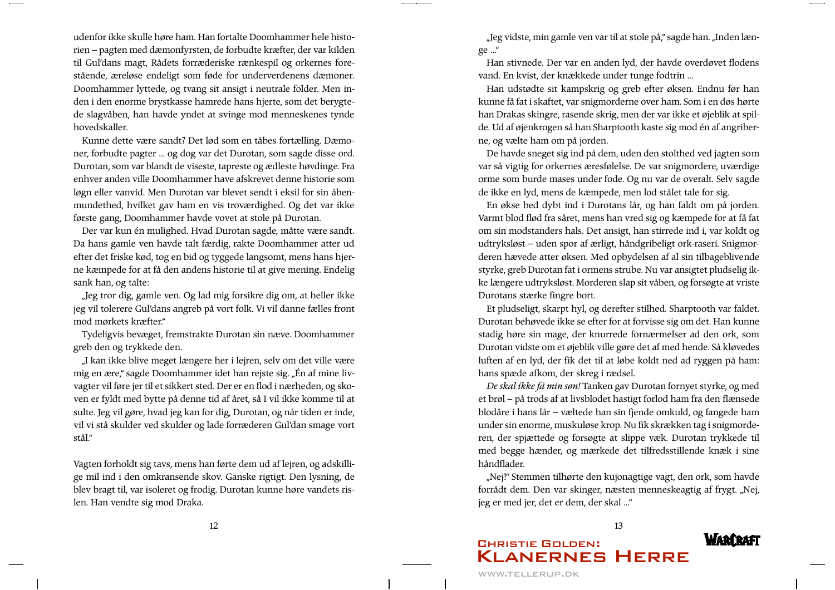udenfor ikke skulle høre ham. Han fortalte Doomhammer hele historien – pagten med dæmonfyrsten, de forbudte kræfter, der var kilden til Gul'dans magt, Rådets forræderiske rænkespil og orkernes forestående, æreløse endeligt som føde for underverdenens dæmoner. Doomhammer lyttede, og tvang sit ansigt i neutrale folder. Men inden i den enorme brystkasse hamrede hans hjerte, som det berygtede slagvåben, han havde yndet at svinge mod menneskenes tynde hovedskaller.

Kunne dette være sandt? Det lød som en tåbes fortælling. Dæmoner, forbudte pagter ... og dog var det Durotan, som sagde disse ord. Durotan, som var blandt de viseste, tapreste og ædleste høvdinge. Fra enhver anden ville Doomhammer have afskrevet denne historie som løgn eller vanvid. Men Durotan var blevet sendt i eksil for sin åbenmundethed, hvilket gav ham en vis troværdighed. Og det var ikke første gang, Doomhammer havde vovet at stole på Durotan.

Der var kun én mulighed. Hvad Durotan sagde, måtte være sandt. Da hans gamle ven havde talt færdig, rakte Doomhammer atter ud efter det friske kød, tog en bid og tyggede langsomt, mens hans hjerne kæmpede for at få den andens historie til at give mening. Endelig sank han, og talte:

"Jeg tror dig, gamle ven. Og lad mig forsikre dig om, at heller ikke jeg vil tolerere Gul'dans angreb på vort folk. Vi vil danne fælles front mod mørkets kræfter."

Tydeligvis bevæget, fremstrakte Durotan sin næve. Doomhammer greb den og trykkede den.

"I kan ikke blive meget længere her i lejren, selv om det ville være mig en ære," sagde Doomhammer idet han rejste sig. "Én af mine livvagter vil føre jer til et sikkert sted. Der er en flod i nærheden, og skoven er fyldt med bytte på denne tid af året, så I vil ikke komme til at sulte. Jeg vil gøre, hvad jeg kan for dig, Durotan, og når tiden er inde, vil vi stå skulder ved skulder og lade forræderen Gul'dan smage vort stål."

Vagten forholdt sig tavs, mens han førte dem ud af lejren, og adskillige mil ind i den omkransende skov. Ganske rigtigt. Den lysning, de blev bragt til, var isoleret og frodig. Durotan kunne høre vandets rislen. Han vendte sig mod Draka.

"Jeg vidste, min gamle ven var til at stole på," sagde han. "Inden længe ..."

Han stivnede. Der var en anden lyd, der havde overdøvet flodens vand. En kvist, der knækkede under tunge fodtrin ...

Han udstødte sit kampskrig og greb efter øksen. Endnu før han kunne få fat i skaftet, var snigmorderne over ham. Som i en døs hørte han Drakas skingre, rasende skrig, men der var ikke et øjeblik at spilde. Ud af øjenkrogen så han Sharptooth kaste sig mod én af angriberne, og vælte ham om på jorden.

De havde sneget sig ind på dem, uden den stolthed ved jagten som var så vigtig for orkernes æresfølelse. De var snigmordere, uværdige orme som burde mases under fode. Og nu var de overalt. Selv sagde de ikke en lyd, mens de kæmpede, men lod stålet tale for sig.

En økse bed dybt ind i Durotans lår, og han faldt om på jorden. Varmt blod flød fra såret, mens han vred sig og kæmpede for at få fat om sin modstanders hals. Det ansigt, han stirrede ind i, var koldt og udtryksløst - uden spor af ærligt, håndgribeligt ork-raseri. Snigmorderen hævede atter øksen. Med opbydelsen af al sin tilbageblivende styrke, greb Durotan fat i ormens strube. Nu var ansigtet pludselig ikke længere udtryksløst. Morderen slap sit våben, og forsøgte at vriste Durotans stærke fingre bort.

Et pludseligt, skarpt hyl, og derefter stilhed. Sharptooth var faldet. Durotan behøvede ikke se efter for at forvisse sig om det. Han kunne stadig høre sin mage, der knurrede fornærmelser ad den ork, som Durotan vidste om et øjeblik ville gøre det af med hende. Så kløvedes luften af en lyd, der fik det til at løbe koldt ned ad ryggen på ham: hans spæde afkom, der skreg i rædsel.

De skal ikke få min søn! Tanken gav Durotan fornyet styrke, og med et brøl - på trods af at livsblodet hastigt forlod ham fra den flænsede blodåre i hans lår - væltede han sin fjende omkuld, og fangede ham under sin enorme, muskuløse krop. Nu fik skrækken tag i snigmorderen, der spjættede og forsøgte at slippe væk. Durotan trykkede til med begge hænder, og mærkede det tilfredsstillende knæk i sine håndflader.

"Nej!" Stemmen tilhørte den kujonagtige vagt, den ork, som havde forrådt dem. Den var skinger, næsten menneskeagtig af frygt. "Nej, jeg er med jer, det er dem, der skal ..."

13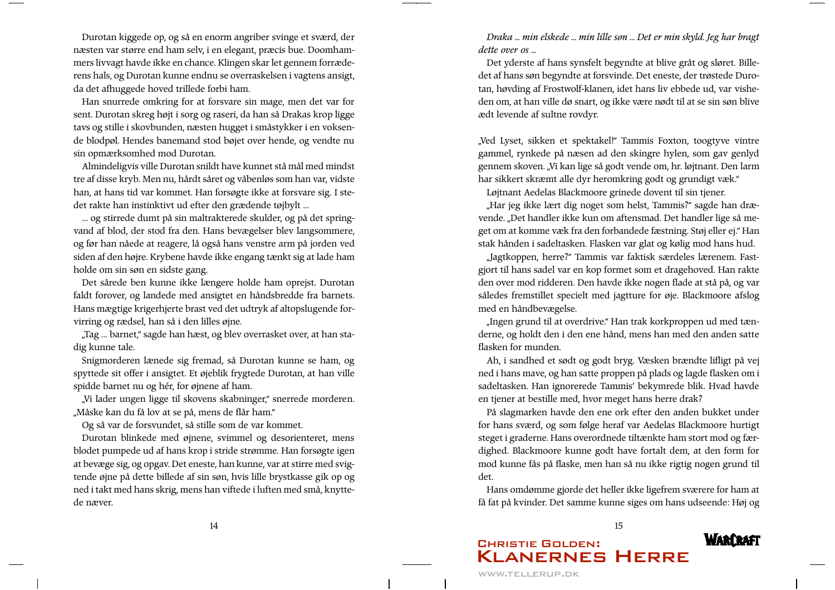Durotan kiggede op, og så en enorm angriber svinge et sværd, der næsten var større end ham selv, i en elegant, præcis bue. Doomhammers livvagt havde ikke en chance. Klingen skar let gennem forræderens hals, og Durotan kunne endnu se overraskelsen i vagtens ansigt, da det afhuggede hoved trillede forbi ham.

Han snurrede omkring for at forsvare sin mage, men det var for sent. Durotan skreg højt i sorg og raseri, da han så Drakas krop ligge tavs og stille i skovbunden, næsten hugget i småstykker i en voksende blodpøl. Hendes banemand stod bøjet over hende, og vendte nu sin opmærksomhed mod Durotan.

Almindeligvis ville Durotan snildt have kunnet stå mål med mindst tre af disse kryb. Men nu, hårdt såret og våbenløs som han var, vidste han, at hans tid var kommet. Han forsøgte ikke at forsvare sig. I stedet rakte han instinktivt ud efter den grædende tøjbylt ...

... og stirrede dumt på sin maltrakterede skulder, og på det springvand af blod, der stod fra den. Hans bevægelser blev langsommere, og før han nåede at reagere, lå også hans venstre arm på jorden ved siden af den højre. Krybene havde ikke engang tænkt sig at lade ham holde om sin søn en sidste gang.

Det sårede ben kunne ikke længere holde ham oprejst. Durotan faldt forover, og landede med ansigtet en håndsbredde fra barnets. Hans mægtige krigerhjerte brast ved det udtryk af altopslugende forvirring og rædsel, han så i den lilles øjne.

"Tag ... barnet," sagde han hæst, og blev overrasket over, at han stadig kunne tale.

Snigmorderen lænede sig fremad, så Durotan kunne se ham, og spyttede sit offer i ansigtet. Et øjeblik frygtede Durotan, at han ville spidde barnet nu og hér, for øjnene af ham.

"Vi lader ungen ligge til skovens skabninger," snerrede morderen. "Måske kan du få lov at se på, mens de flår ham."

Og så var de forsvundet, så stille som de var kommet.

Durotan blinkede med øjnene, svimmel og desorienteret, mens blodet pumpede ud af hans krop i stride strømme. Han forsøgte igen at bevæge sig, og opgav. Det eneste, han kunne, var at stirre med svigtende øjne på dette billede af sin søn, hvis lille brystkasse gik op og ned i takt med hans skrig, mens han viftede i luften med små, knyttede næver.

Draka ... min elskede ... min lille søn ... Det er min skyld. Jeg har bragt  $d$ ette over os  $\mathbb{R}$ 

Det yderste af hans synsfelt begyndte at blive gråt og sløret. Billedet af hans søn begyndte at forsvinde. Det eneste, der trøstede Durotan, høvding af Frostwolf-klanen, idet hans liv ebbede ud, var visheden om, at han ville dø snart, og ikke være nødt til at se sin søn blive ædt levende af sultne rovdyr.

"Ved Lyset, sikken et spektakel!" Tammis Foxton, toogtyve vintre gammel, rynkede på næsen ad den skingre hylen, som gav genlyd gennem skoven. "Vi kan lige så godt vende om, hr. løjtnant. Den larm har sikkert skræmt alle dyr heromkring godt og grundigt væk."

Løjtnant Aedelas Blackmoore grinede dovent til sin tjener.

"Har jeg ikke lært dig noget som helst, Tammis?" sagde han drævende. "Det handler ikke kun om aftensmad. Det handler lige så meget om at komme væk fra den forbandede fæstning. Støj eller ej." Han stak hånden i sadeltasken. Flasken var glat og kølig mod hans hud.

"Jagtkoppen, herre?" Tammis var faktisk særdeles lærenem. Fastgjort til hans sadel var en kop formet som et dragehoved. Han rakte den over mod ridderen. Den havde ikke nogen flade at stå på, og var således fremstillet specielt med jagtture for øje. Blackmoore afslog med en håndbevægelse.

"Ingen grund til at overdrive." Han trak korkproppen ud med tænderne, og holdt den i den ene hånd, mens han med den anden satte flasken for munden.

Ah, i sandhed et sødt og godt bryg. Væsken brændte lifligt på vej ned i hans mave, og han satte proppen på plads og lagde flasken om i sadeltasken. Han ignorerede Tammis' bekymrede blik. Hvad havde en tjener at bestille med, hvor meget hans herre drak?

På slagmarken havde den ene ork efter den anden bukket under for hans sværd, og som følge heraf var Aedelas Blackmoore hurtigt steget i graderne. Hans overordnede tiltænkte ham stort mod og færdighed. Blackmoore kunne godt have fortalt dem, at den form for mod kunne fås på flaske, men han så nu ikke rigtig nogen grund til det.

Hans omdømme gjorde det heller ikke ligefrem sværere for ham at få fat på kvinder. Det samme kunne siges om hans udseende: Høj og

15

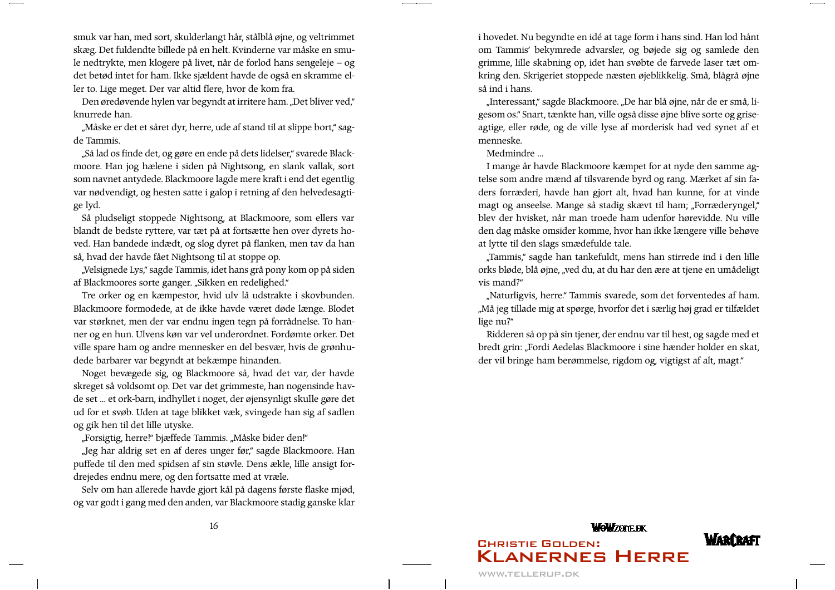smuk var han, med sort, skulderlangt hår, stålblå øjne, og veltrimmet skæg. Det fuldendte billede på en helt. Kvinderne var måske en smule nedtrykte, men klogere på livet, når de forlod hans sengeleje – og det betød intet for ham. Ikke sjældent havde de også en skramme eller to. Lige meget. Der var altid flere, hvor de kom fra.

Den øredøvende hylen var begyndt at irritere ham. "Det bliver ved," knurrede han.

"Måske er det et såret dyr, herre, ude af stand til at slippe bort," sagde Tammis.

"Så lad os finde det, og gøre en ende på dets lidelser," svarede Blackmoore. Han jog hælene i siden på Nightsong, en slank vallak, sort som navnet antydede. Blackmoore lagde mere kraft i end det egentlig var nødvendigt, og hesten satte i galop i retning af den helvedesagtige lyd.

Så pludseligt stoppede Nightsong, at Blackmoore, som ellers var blandt de bedste ryttere, var tæt på at fortsætte hen over dyrets hoved. Han bandede indædt, og slog dyret på flanken, men tav da han så, hvad der havde fået Nightsong til at stoppe op.

"Velsignede Lys," sagde Tammis, idet hans grå pony kom op på siden af Blackmoores sorte ganger. "Sikken en redelighed."

Tre orker og en kæmpestor, hvid ulv lå udstrakte i skovbunden. Blackmoore formodede, at de ikke havde været døde længe. Blodet var størknet, men der var endnu ingen tegn på forrådnelse. To hanner og en hun. Ulvens køn var vel underordnet. Fordømte orker. Det ville spare ham og andre mennesker en del besvær, hvis de grønhudede barbarer var begyndt at bekæmpe hinanden.

Noget bevægede sig, og Blackmoore så, hvad det var, der havde skreget så voldsomt op. Det var det grimmeste, han nogensinde havde set ... et ork-barn, indhyllet i noget, der øjensynligt skulle gøre det ud for et svøb. Uden at tage blikket væk, svingede han sig af sadlen og gik hen til det lille utyske.

"Forsigtig, herre!" bjæffede Tammis. "Måske bider den!"

"Jeg har aldrig set en af deres unger før," sagde Blackmoore. Han puffede til den med spidsen af sin støvle. Dens ækle, lille ansigt fordrejedes endnu mere, og den fortsatte med at vræle.

Selv om han allerede havde gjort kål på dagens første flaske mjød, og var godt i gang med den anden, var Blackmoore stadig ganske klar i hovedet. Nu begyndte en idé at tage form i hans sind. Han lod hånt om Tammis' bekymrede advarsler, og bøjede sig og samlede den grimme, lille skabning op, idet han svøbte de farvede laser tæt omkring den. Skrigeriet stoppede næsten øjeblikkelig. Små, blågrå øjne så ind i hans.

"Interessant," sagde Blackmoore. "De har blå øjne, når de er små, ligesom os." Snart, tænkte han, ville også disse øjne blive sorte og griseagtige, eller røde, og de ville lyse af morderisk had ved synet af et menneske.

Medmindre ...

I mange år havde Blackmoore kæmpet for at nyde den samme agtelse som andre mænd af tilsvarende byrd og rang. Mærket af sin faders forræderi, havde han gjort alt, hvad han kunne, for at vinde magt og anseelse. Mange så stadig skævt til ham; "Forræderyngel," blev der hvisket, når man troede ham udenfor hørevidde. Nu ville den dag måske omsider komme, hvor han ikke længere ville behøve at lytte til den slags smædefulde tale.

"Tammis," sagde han tankefuldt, mens han stirrede ind i den lille orks bløde, blå øjne, "ved du, at du har den ære at tjene en umådeligt vis mand?"

"Naturligvis, herre." Tammis svarede, som det forventedes af ham. "Må jeg tillade mig at spørge, hvorfor det i særlig høj grad er tilfældet lige nu?"

Ridderen så op på sin tjener, der endnu var til hest, og sagde med et bredt grin: "Fordi Aedelas Blackmoore i sine hænder holder en skat, der vil bringe ham berømmelse, rigdom og, vigtigst af alt, magt."

## **WoWZONEDK WARCRAFI CHRISTIE GOLDEN: KLANERNES HERRE**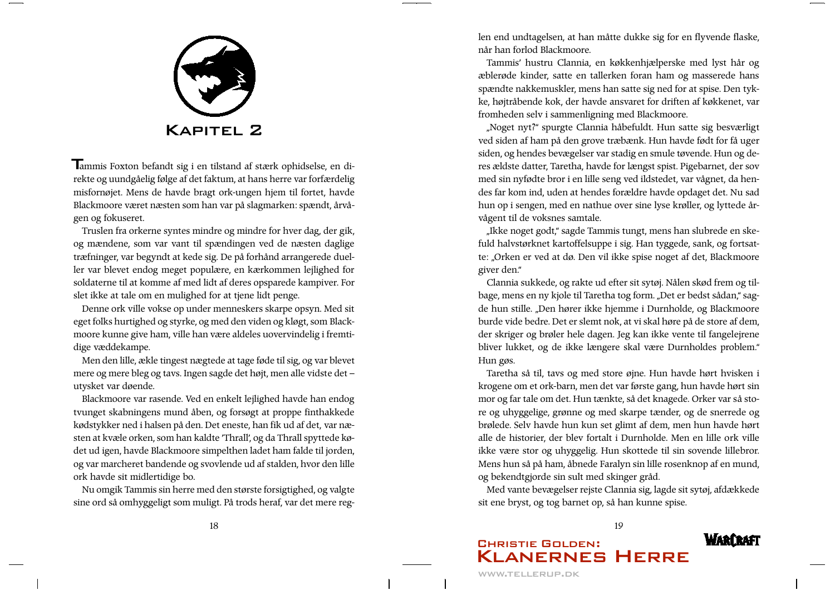

Tammis Foxton befandt sig i en tilstand af stærk ophidselse, en direkte og uundgåelig følge af det faktum, at hans herre var forfærdelig misfornøjet. Mens de havde bragt ork-ungen hjem til fortet, havde Blackmoore været næsten som han var på slagmarken: spændt, årvågen og fokuseret.

Truslen fra orkerne syntes mindre og mindre for hver dag, der gik, og mændene, som var vant til spændingen ved de næsten daglige træfninger, var begyndt at kede sig. De på forhånd arrangerede dueller var blevet endog meget populære, en kærkommen lejlighed for soldaterne til at komme af med lidt af deres opsparede kampiver. For slet ikke at tale om en mulighed for at tjene lidt penge.

Denne ork ville vokse op under menneskers skarpe opsyn. Med sit eget folks hurtighed og styrke, og med den viden og kløgt, som Blackmoore kunne give ham, ville han være aldeles uovervindelig i fremtidige væddekampe.

Men den lille, ækle tingest nægtede at tage føde til sig, og var blevet mere og mere bleg og tavs. Ingen sagde det højt, men alle vidste det utysket var døende.

Blackmoore var rasende. Ved en enkelt lejlighed havde han endog tvunget skabningens mund åben, og forsøgt at proppe finthakkede kødstykker ned i halsen på den. Det eneste, han fik ud af det, var næsten at kvæle orken, som han kaldte 'Thrall', og da Thrall spyttede kødet ud igen, havde Blackmoore simpelthen ladet ham falde til jorden, og var marcheret bandende og svovlende ud af stalden, hvor den lille ork havde sit midlertidige bo.

Nu omgik Tammis sin herre med den største forsigtighed, og valgte sine ord så omhyggeligt som muligt. På trods heraf, var det mere reglen end undtagelsen, at han måtte dukke sig for en flyvende flaske, når han forlod Blackmoore.

Tammis' hustru Clannia, en køkkenhjælperske med lyst hår og æblerøde kinder, satte en tallerken foran ham og masserede hans spændte nakkemuskler, mens han satte sig ned for at spise. Den tykke, højtråbende kok, der havde ansvaret for driften af køkkenet, var fromheden selv i sammenligning med Blackmoore.

"Noget nyt?" spurgte Clannia håbefuldt. Hun satte sig besværligt ved siden af ham på den grove træbænk. Hun havde født for få uger siden, og hendes bevægelser var stadig en smule tøvende. Hun og deres ældste datter, Taretha, havde for længst spist. Pigebarnet, der sov med sin nyfødte bror i en lille seng ved ildstedet, var vågnet, da hendes far kom ind, uden at hendes forældre havde opdaget det. Nu sad hun op i sengen, med en nathue over sine lyse krøller, og lyttede årvågent til de voksnes samtale.

"Ikke noget godt," sagde Tammis tungt, mens han slubrede en skefuld halvstørknet kartoffelsuppe i sig. Han tyggede, sank, og fortsatte: "Orken er ved at dø. Den vil ikke spise noget af det, Blackmoore giver den."

Clannia sukkede, og rakte ud efter sit sytøj. Nålen skød frem og tilbage, mens en ny kjole til Taretha tog form. "Det er bedst sådan," sagde hun stille. "Den hører ikke hjemme i Durnholde, og Blackmoore burde vide bedre. Det er slemt nok, at vi skal høre på de store af dem, der skriger og brøler hele dagen. Jeg kan ikke vente til fangelejrene bliver lukket, og de ikke længere skal være Durnholdes problem." Hun gøs.

Taretha så til, tavs og med store øjne. Hun havde hørt hvisken i krogene om et ork-barn, men det var første gang, hun havde hørt sin mor og far tale om det. Hun tænkte, så det knagede. Orker var så store og uhyggelige, grønne og med skarpe tænder, og de snerrede og brølede. Selv havde hun kun set glimt af dem, men hun havde hørt alle de historier, der blev fortalt i Durnholde. Men en lille ork ville ikke være stor og uhyggelig. Hun skottede til sin sovende lillebror. Mens hun så på ham, åbnede Faralyn sin lille rosenknop af en mund, og bekendtgjorde sin sult med skinger gråd.

Med vante bevægelser rejste Clannia sig, lagde sit sytøj, afdækkede sit ene bryst, og tog barnet op, så han kunne spise.

#### WARFRAFI **CHRISTIE GOLDEN: KLANERNES HERRE**

18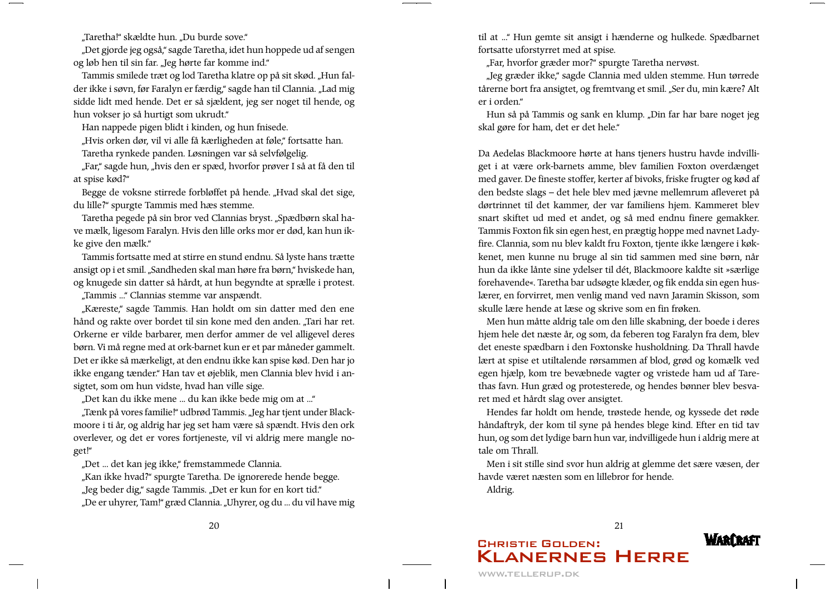"Taretha!" skældte hun. "Du burde sove."

"Det gjorde jeg også," sagde Taretha, idet hun hoppede ud af sengen og løb hen til sin far. "Jeg hørte far komme ind."

Tammis smilede træt og lod Taretha klatre op på sit skød. "Hun falder ikke i søvn, før Faralyn er færdig," sagde han til Clannia. "Lad mig sidde lidt med hende. Det er så sjældent, jeg ser noget til hende, og hun vokser jo så hurtigt som ukrudt."

Han nappede pigen blidt i kinden, og hun fnisede.

"Hvis orken dør, vil vi alle få kærligheden at føle," fortsatte han. Taretha rynkede panden. Løsningen var så selvfølgelig.

"Far," sagde hun, "hvis den er spæd, hvorfor prøver I så at få den til at spise kød?"

Begge de voksne stirrede forbløffet på hende. "Hvad skal det sige, du lille?" spurgte Tammis med hæs stemme.

Taretha pegede på sin bror ved Clannias bryst. "Spædbørn skal have mælk, ligesom Faralyn. Hvis den lille orks mor er død, kan hun ikke give den mælk."

Tammis fortsatte med at stirre en stund endnu. Så lyste hans trætte ansigt op i et smil. "Sandheden skal man høre fra børn," hviskede han, og knugede sin datter så hårdt, at hun begyndte at sprælle i protest.

"Tammis ..." Clannias stemme var anspændt.

"Kæreste," sagde Tammis. Han holdt om sin datter med den ene hånd og rakte over bordet til sin kone med den anden. "Tari har ret. Orkerne er vilde barbarer, men derfor ammer de vel alligevel deres børn. Vi må regne med at ork-barnet kun er et par måneder gammelt. Det er ikke så mærkeligt, at den endnu ikke kan spise kød. Den har jo ikke engang tænder." Han tav et øjeblik, men Clannia blev hvid i ansigtet, som om hun vidste, hvad han ville sige.

"Det kan du ikke mene ... du kan ikke bede mig om at ..."

"Tænk på vores familie!" udbrød Tammis. "Jeg har tjent under Blackmoore i ti år, og aldrig har jeg set ham være så spændt. Hvis den ork overlever, og det er vores fortjeneste, vil vi aldrig mere mangle noget!"

"Det ... det kan jeg ikke," fremstammede Clannia.

"Kan ikke hvad?" spurgte Taretha. De ignorerede hende begge. "Jeg beder dig," sagde Tammis. "Det er kun for en kort tid." "De er uhyrer, Tam!" græd Clannia. "Uhyrer, og du ... du vil have mig til at ... Hun gemte sit ansigt i hænderne og hulkede. Spædbarnet fortsatte uforstyrret med at spise.

"Far, hvorfor græder mor?" spurgte Taretha nervøst.

"Jeg græder ikke," sagde Clannia med ulden stemme. Hun tørrede tårerne bort fra ansigtet, og fremtvang et smil. "Ser du, min kære? Alt er i orden."

Hun så på Tammis og sank en klump. "Din far har bare noget jeg skal gøre for ham, det er det hele."

Da Aedelas Blackmoore hørte at hans tjeners hustru havde indvilliget i at være ork-barnets amme, blev familien Foxton overdænget med gaver. De fineste stoffer, kerter af bivoks, friske frugter og kød af den bedste slags - det hele blev med jævne mellemrum afleveret på dørtrinnet til det kammer, der var familiens hjem. Kammeret blev snart skiftet ud med et andet, og så med endnu finere gemakker. Tammis Foxton fik sin egen hest, en prægtig hoppe med navnet Ladyfire. Clannia, som nu blev kaldt fru Foxton, tjente ikke længere i køkkenet, men kunne nu bruge al sin tid sammen med sine børn, når hun da ikke lånte sine ydelser til dét, Blackmoore kaldte sit »særlige forehavende«. Taretha bar udsøgte klæder, og fik endda sin egen huslærer, en forvirret, men venlig mand ved navn Jaramin Skisson, som skulle lære hende at læse og skrive som en fin frøken.

Men hun måtte aldrig tale om den lille skabning, der boede i deres hjem hele det næste år, og som, da feberen tog Faralyn fra dem, blev det eneste spædbarn i den Foxtonske husholdning. Da Thrall havde lært at spise et utiltalende rørsammen af blod, grød og komælk ved egen hjælp, kom tre bevæbnede vagter og vristede ham ud af Tarethas favn. Hun græd og protesterede, og hendes bønner blev besvaret med et hårdt slag over ansigtet.

Hendes far holdt om hende, trøstede hende, og kyssede det røde håndaftryk, der kom til syne på hendes blege kind. Efter en tid tav hun, og som det lydige barn hun var, indvilligede hun i aldrig mere at tale om Thrall.

Men i sit stille sind svor hun aldrig at glemme det sære væsen, der havde været næsten som en lillebror for hende.

Aldrig.

#### **WARCRAFI CHRISTIE GOLDEN: KLANERNES HERRE**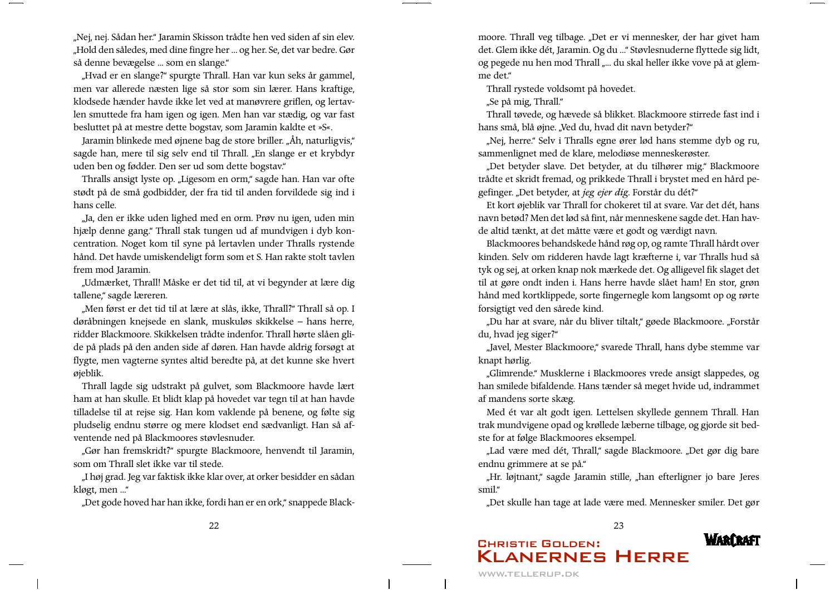"Nej, nej. Sådan her." Jaramin Skisson trådte hen ved siden af sin elev. "Hold den således, med dine fingre her ... og her. Se, det var bedre. Gør så denne bevægelse ... som en slange."

"Hvad er en slange?" spurgte Thrall. Han var kun seks år gammel, men var allerede næsten lige så stor som sin lærer. Hans kraftige, klodsede hænder havde ikke let ved at manøvrere griflen, og lertavlen smuttede fra ham igen og igen. Men han var stædig, og var fast besluttet på at mestre dette bogstav, som Jaramin kaldte et »S«.

Jaramin blinkede med øjnene bag de store briller. "Åh, naturligvis," sagde han, mere til sig selv end til Thrall. "En slange er et krybdyr uden ben og fødder. Den ser ud som dette bogstav."

Thralls ansigt lyste op. "Ligesom en orm," sagde han. Han var ofte stødt på de små godbidder, der fra tid til anden forvildede sig ind i hans celle.

"Ja, den er ikke uden lighed med en orm. Prøv nu igen, uden min hjælp denne gang." Thrall stak tungen ud af mundvigen i dyb koncentration. Noget kom til syne på lertavlen under Thralls rystende hånd. Det havde umiskendeligt form som et S. Han rakte stolt tavlen frem mod Jaramin.

"Udmærket, Thrall! Måske er det tid til, at vi begynder at lære dig tallene," sagde læreren.

"Men først er det tid til at lære at slås, ikke, Thrall?" Thrall så op. I døråbningen knejsede en slank, muskuløs skikkelse - hans herre, ridder Blackmoore. Skikkelsen trådte indenfor. Thrall hørte slåen glide på plads på den anden side af døren. Han havde aldrig forsøgt at flygte, men vagterne syntes altid beredte på, at det kunne ske hvert øjeblik.

Thrall lagde sig udstrakt på gulvet, som Blackmoore havde lært ham at han skulle. Et blidt klap på hovedet var tegn til at han havde tilladelse til at rejse sig. Han kom vaklende på benene, og følte sig pludselig endnu større og mere klodset end sædvanligt. Han så afventende ned på Blackmoores støvlesnuder.

"Gør han fremskridt?" spurgte Blackmoore, henvendt til Jaramin, som om Thrall slet ikke var til stede.

"I høj grad. Jeg var faktisk ikke klar over, at orker besidder en sådan kløgt, men ..."

"Det gode hoved har han ikke, fordi han er en ork," snappede Black-

moore. Thrall veg tilbage. "Det er vi mennesker, der har givet ham det. Glem ikke dét, Jaramin. Og du ... "Støvlesnuderne flyttede sig lidt, og pegede nu hen mod Thrall "... du skal heller ikke vove på at glemme det."

Thrall rystede voldsomt på hovedet.

"Se på mig, Thrall."

Thrall tøvede, og hævede så blikket. Blackmoore stirrede fast ind i hans små, blå øjne. "Ved du, hvad dit navn betyder?"

"Nej, herre." Selv i Thralls egne ører lød hans stemme dyb og ru, sammenlignet med de klare, melodiøse menneskerøster.

"Det betyder slave. Det betyder, at du tilhører mig." Blackmoore trådte et skridt fremad, og prikkede Thrall i brystet med en hård pegefinger. "Det betyder, at jeg ejer dig. Forstår du dét?"

Et kort øjeblik var Thrall for chokeret til at svare. Var det dét, hans navn betød? Men det lød så fint, når menneskene sagde det. Han havde altid tænkt, at det måtte være et godt og værdigt navn.

Blackmoores behandskede hånd røg op, og ramte Thrall hårdt over kinden. Selv om ridderen havde lagt kræfterne i, var Thralls hud så tyk og sej, at orken knap nok mærkede det. Og alligevel fik slaget det til at gøre ondt inden i. Hans herre havde slået ham! En stor, grøn hånd med kortklippede, sorte fingernegle kom langsomt op og rørte forsigtigt ved den sårede kind.

"Du har at svare, når du bliver tiltalt," gøede Blackmoore. "Forstår du, hvad jeg siger?"

"Javel, Mester Blackmoore," svarede Thrall, hans dybe stemme var knapt hørlig.

"Glimrende." Musklerne i Blackmoores vrede ansigt slappedes, og han smilede bifaldende. Hans tænder så meget hvide ud, indrammet af mandens sorte skæg.

Med ét var alt godt igen. Lettelsen skyllede gennem Thrall. Han trak mundvigene opad og krøllede læberne tilbage, og gjorde sit bedste for at følge Blackmoores eksempel.

"Lad være med dét, Thrall," sagde Blackmoore. "Det gør dig bare endnu grimmere at se på."

"Hr. løjtnant," sagde Jaramin stille, "han efterligner jo bare Jeres smil."

"Det skulle han tage at lade være med. Mennesker smiler. Det gør

23

**WARCRAFT CHRISTIE GOLDEN: KLANERNES HERRE** 

22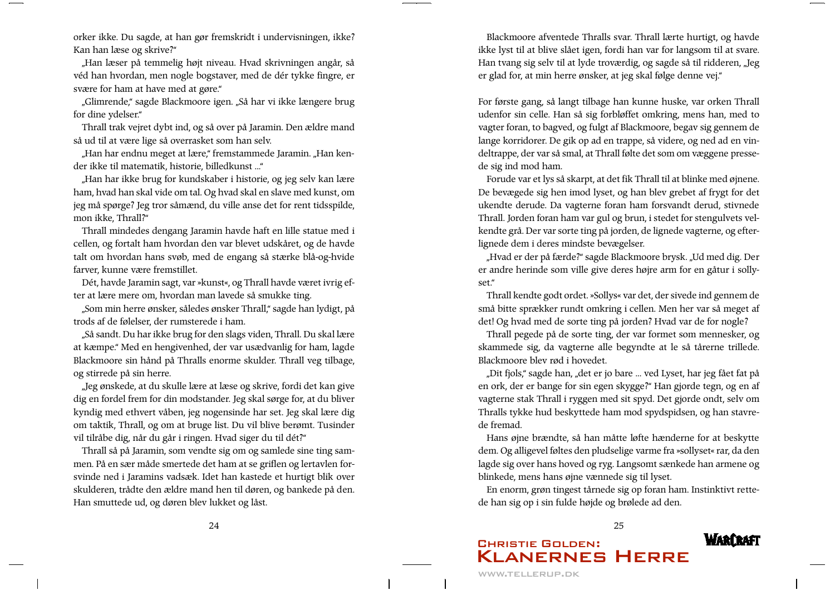orker ikke. Du sagde, at han gør fremskridt i undervisningen, ikke? Kan han læse og skrive?"

"Han læser på temmelig højt niveau. Hvad skrivningen angår, så véd han hvordan, men nogle bogstaver, med de dér tykke fingre, er svære for ham at have med at gøre."

"Glimrende," sagde Blackmoore igen. "Så har vi ikke længere brug for dine ydelser."

Thrall trak vejret dybt ind, og så over på Jaramin. Den ældre mand så ud til at være lige så overrasket som han selv.

"Han har endnu meget at lære," fremstammede Jaramin. "Han kender ikke til matematik, historie, billedkunst ..."

"Han har ikke brug for kundskaber i historie, og jeg selv kan lære ham, hvad han skal vide om tal. Og hvad skal en slave med kunst, om jeg må spørge? Jeg tror såmænd, du ville anse det for rent tidsspilde, mon ikke, Thrall?"

Thrall mindedes dengang Jaramin havde haft en lille statue med i cellen, og fortalt ham hvordan den var blevet udskåret, og de havde talt om hvordan hans svøb, med de engang så stærke blå-og-hvide farver, kunne være fremstillet.

Dét, havde Jaramin sagt, var »kunst«, og Thrall havde været ivrig efter at lære mere om, hvordan man lavede så smukke ting.

"Som min herre ønsker, således ønsker Thrall," sagde han lydigt, på trods af de følelser, der rumsterede i ham.

"Så sandt. Du har ikke brug for den slags viden, Thrall. Du skal lære at kæmpe." Med en hengivenhed, der var usædvanlig for ham, lagde Blackmoore sin hånd på Thralls enorme skulder. Thrall veg tilbage, og stirrede på sin herre.

"Jeg ønskede, at du skulle lære at læse og skrive, fordi det kan give dig en fordel frem for din modstander. Jeg skal sørge for, at du bliver kyndig med ethvert våben, jeg nogensinde har set. Jeg skal lære dig om taktik, Thrall, og om at bruge list. Du vil blive berømt. Tusinder vil tilråbe dig, når du går i ringen. Hvad siger du til dét?"

Thrall så på Jaramin, som vendte sig om og samlede sine ting sammen. På en sær måde smertede det ham at se griflen og lertavlen forsvinde ned i Jaramins vadsæk. Idet han kastede et hurtigt blik over skulderen, trådte den ældre mand hen til døren, og bankede på den. Han smuttede ud, og døren blev lukket og låst.

Blackmoore afventede Thralls svar. Thrall lærte hurtigt, og havde ikke lyst til at blive slået igen, fordi han var for langsom til at svare. Han tvang sig selv til at lyde troværdig, og sagde så til ridderen, "Jeg er glad for, at min herre ønsker, at jeg skal følge denne vej."

For første gang, så langt tilbage han kunne huske, var orken Thrall udenfor sin celle. Han så sig forbløffet omkring, mens han, med to vagter foran, to bagved, og fulgt af Blackmoore, begav sig gennem de lange korridorer. De gik op ad en trappe, så videre, og ned ad en vindeltrappe, der var så smal, at Thrall følte det som om væggene pressede sig ind mod ham.

Forude var et lys så skarpt, at det fik Thrall til at blinke med øjnene. De bevægede sig hen imod lyset, og han blev grebet af frygt for det ukendte derude. Da vagterne foran ham forsvandt derud, stivnede Thrall. Jorden foran ham var gul og brun, i stedet for stengulvets velkendte grå. Der var sorte ting på jorden, de lignede vagterne, og efterlignede dem i deres mindste bevægelser.

"Hvad er der på færde?" sagde Blackmoore brysk. "Ud med dig. Der er andre herinde som ville give deres højre arm for en gåtur i sollyset."

Thrall kendte godt ordet. »Sollys« var det, der sivede ind gennem de små bitte sprækker rundt omkring i cellen. Men her var så meget af det! Og hvad med de sorte ting på jorden? Hvad var de for nogle?

Thrall pegede på de sorte ting, der var formet som mennesker, og skammede sig, da vagterne alle begyndte at le så tårerne trillede. Blackmoore blev rød i hovedet.

"Dit fjols," sagde han, "det er jo bare … ved Lyset, har jeg fået fat på en ork, der er bange for sin egen skygge?" Han gjorde tegn, og en af vagterne stak Thrall i ryggen med sit spyd. Det gjorde ondt, selv om Thralls tykke hud beskyttede ham mod spydspidsen, og han stavrede fremad.

Hans øjne brændte, så han måtte løfte hænderne for at beskytte dem. Og alligevel føltes den pludselige varme fra »sollyset« rar, da den lagde sig over hans hoved og ryg. Langsomt sænkede han armene og blinkede, mens hans øjne vænnede sig til lyset.

En enorm, grøn tingest tårnede sig op foran ham. Instinktivt rettede han sig op i sin fulde højde og brølede ad den.

### **WARCRAFT CHRISTIE GOLDEN: KLANERNES HERRE**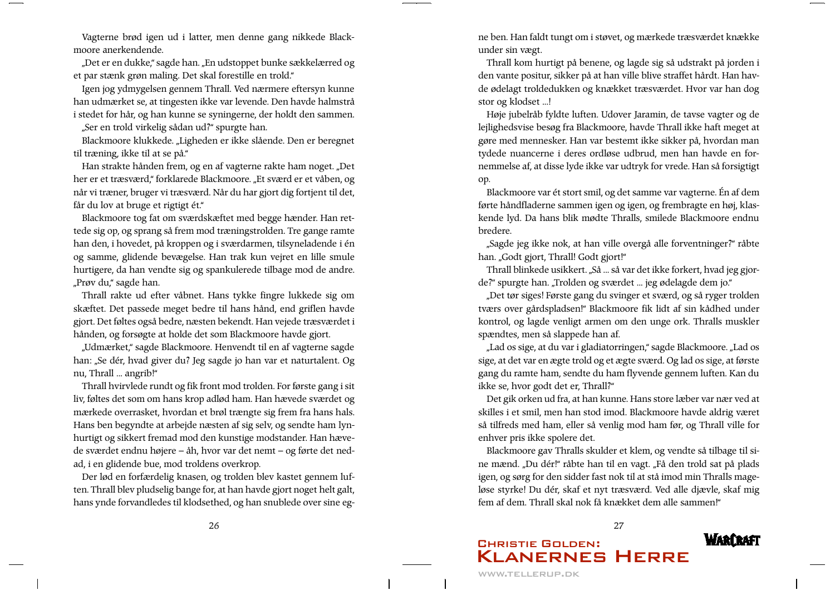Vagterne brød igen ud i latter, men denne gang nikkede Blackmoore anerkendende.

"Det er en dukke," sagde han. "En udstoppet bunke sækkelærred og et par stænk grøn maling. Det skal forestille en trold."

Igen jog ydmygelsen gennem Thrall. Ved nærmere eftersyn kunne han udmærket se, at tingesten ikke var levende. Den havde halmstrå i stedet for hår, og han kunne se syningerne, der holdt den sammen.

"Ser en trold virkelig sådan ud?" spurgte han.

Blackmoore klukkede. "Ligheden er ikke slående. Den er beregnet til træning, ikke til at se på."

Han strakte hånden frem, og en af vagterne rakte ham noget. "Det her er et træsværd," forklarede Blackmoore. "Et sværd er et våben, og når vi træner, bruger vi træsværd. Når du har gjort dig fortjent til det, får du lov at bruge et rigtigt ét."

Blackmoore tog fat om sværdskæftet med begge hænder. Han rettede sig op, og sprang så frem mod træningstrolden. Tre gange ramte han den, i hovedet, på kroppen og i sværdarmen, tilsyneladende i én og samme, glidende bevægelse. Han trak kun vejret en lille smule hurtigere, da han vendte sig og spankulerede tilbage mod de andre. "Prøv du," sagde han.

Thrall rakte ud efter våbnet. Hans tykke fingre lukkede sig om skæftet. Det passede meget bedre til hans hånd, end griflen havde gjort. Det føltes også bedre, næsten bekendt. Han vejede træsværdet i hånden, og forsøgte at holde det som Blackmoore havde gjort.

"Udmærket," sagde Blackmoore. Henvendt til en af vagterne sagde han: "Se dér, hvad giver du? Jeg sagde jo han var et naturtalent. Og nu, Thrall ... angrib!"

Thrall hvirvlede rundt og fik front mod trolden. For første gang i sit liv, føltes det som om hans krop adlød ham. Han hævede sværdet og mærkede overrasket, hvordan et brøl trængte sig frem fra hans hals. Hans ben begyndte at arbejde næsten af sig selv, og sendte ham lynhurtigt og sikkert fremad mod den kunstige modstander. Han hævede sværdet endnu højere - åh, hvor var det nemt - og førte det nedad, i en glidende bue, mod troldens overkrop.

Der lød en forfærdelig knasen, og trolden blev kastet gennem luften. Thrall blev pludselig bange for, at han havde gjort noget helt galt, hans ynde forvandledes til klodsethed, og han snublede over sine egne ben. Han faldt tungt om i støvet, og mærkede træsværdet knække under sin vægt.

Thrall kom hurtigt på benene, og lagde sig så udstrakt på jorden i den vante positur, sikker på at han ville blive straffet hårdt. Han havde ødelagt troldedukken og knækket træsværdet. Hvor var han dog stor og klodset ...!

Høje jubelråb fyldte luften. Udover Jaramin, de tavse vagter og de lejlighedsvise besøg fra Blackmoore, havde Thrall ikke haft meget at gøre med mennesker. Han var bestemt ikke sikker på, hvordan man tydede nuancerne i deres ordløse udbrud, men han havde en fornemmelse af, at disse lyde ikke var udtryk for vrede. Han så forsigtigt op.

Blackmoore var ét stort smil, og det samme var vagterne. Én af dem førte håndfladerne sammen igen og igen, og frembragte en høj, klaskende lyd. Da hans blik mødte Thralls, smilede Blackmoore endnu bredere.

"Sagde jeg ikke nok, at han ville overgå alle forventninger?" råbte han. "Godt gjort, Thrall! Godt gjort!"

Thrall blinkede usikkert. "Så ... så var det ikke forkert, hvad jeg gjorde?" spurgte han. "Trolden og sværdet ... jeg ødelagde dem jo."

"Det tør siges! Første gang du svinger et sværd, og så ryger trolden tværs over gårdspladsen!" Blackmoore fik lidt af sin kådhed under kontrol, og lagde venligt armen om den unge ork. Thralls muskler spændtes, men så slappede han af.

"Lad os sige, at du var i gladiatorringen," sagde Blackmoore. "Lad os sige, at det var en ægte trold og et ægte sværd. Og lad os sige, at første gang du ramte ham, sendte du ham flyvende gennem luften. Kan du ikke se, hvor godt det er, Thrall?"

Det gik orken ud fra, at han kunne. Hans store læber var nær ved at skilles i et smil, men han stod imod. Blackmoore havde aldrig været så tilfreds med ham, eller så venlig mod ham før, og Thrall ville for enhver pris ikke spolere det.

Blackmoore gav Thralls skulder et klem, og vendte så tilbage til sine mænd. "Du dér!" råbte han til en vagt. "Få den trold sat på plads igen, og sørg for den sidder fast nok til at stå imod min Thralls mageløse styrke! Du dér, skaf et nyt træsværd. Ved alle djævle, skaf mig fem af dem. Thrall skal nok få knækket dem alle sammen!"

27

### **WARCRAFI CHRISTIE GOLDEN: KLANERNES HERRE**